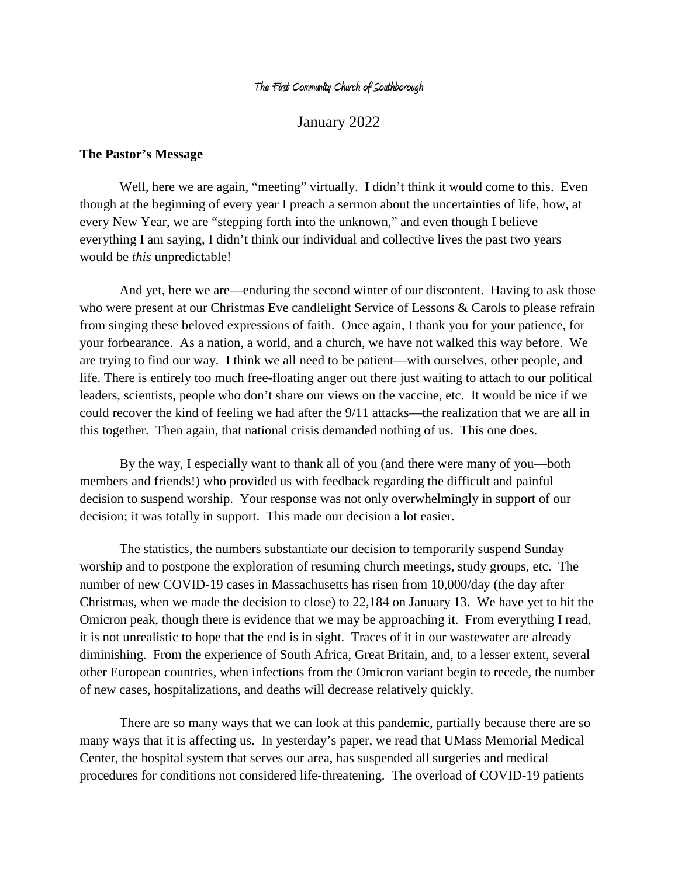#### **The First Community Church of Southborough**

January 2022

#### **The Pastor's Message**

Well, here we are again, "meeting" virtually. I didn't think it would come to this. Even though at the beginning of every year I preach a sermon about the uncertainties of life, how, at every New Year, we are "stepping forth into the unknown," and even though I believe everything I am saying, I didn't think our individual and collective lives the past two years would be *this* unpredictable!

And yet, here we are—enduring the second winter of our discontent. Having to ask those who were present at our Christmas Eve candlelight Service of Lessons & Carols to please refrain from singing these beloved expressions of faith. Once again, I thank you for your patience, for your forbearance. As a nation, a world, and a church, we have not walked this way before. We are trying to find our way. I think we all need to be patient—with ourselves, other people, and life. There is entirely too much free-floating anger out there just waiting to attach to our political leaders, scientists, people who don't share our views on the vaccine, etc. It would be nice if we could recover the kind of feeling we had after the 9/11 attacks—the realization that we are all in this together. Then again, that national crisis demanded nothing of us. This one does.

By the way, I especially want to thank all of you (and there were many of you—both members and friends!) who provided us with feedback regarding the difficult and painful decision to suspend worship. Your response was not only overwhelmingly in support of our decision; it was totally in support. This made our decision a lot easier.

The statistics, the numbers substantiate our decision to temporarily suspend Sunday worship and to postpone the exploration of resuming church meetings, study groups, etc. The number of new COVID-19 cases in Massachusetts has risen from 10,000/day (the day after Christmas, when we made the decision to close) to 22,184 on January 13. We have yet to hit the Omicron peak, though there is evidence that we may be approaching it. From everything I read, it is not unrealistic to hope that the end is in sight. Traces of it in our wastewater are already diminishing. From the experience of South Africa, Great Britain, and, to a lesser extent, several other European countries, when infections from the Omicron variant begin to recede, the number of new cases, hospitalizations, and deaths will decrease relatively quickly.

There are so many ways that we can look at this pandemic, partially because there are so many ways that it is affecting us. In yesterday's paper, we read that UMass Memorial Medical Center, the hospital system that serves our area, has suspended all surgeries and medical procedures for conditions not considered life-threatening. The overload of COVID-19 patients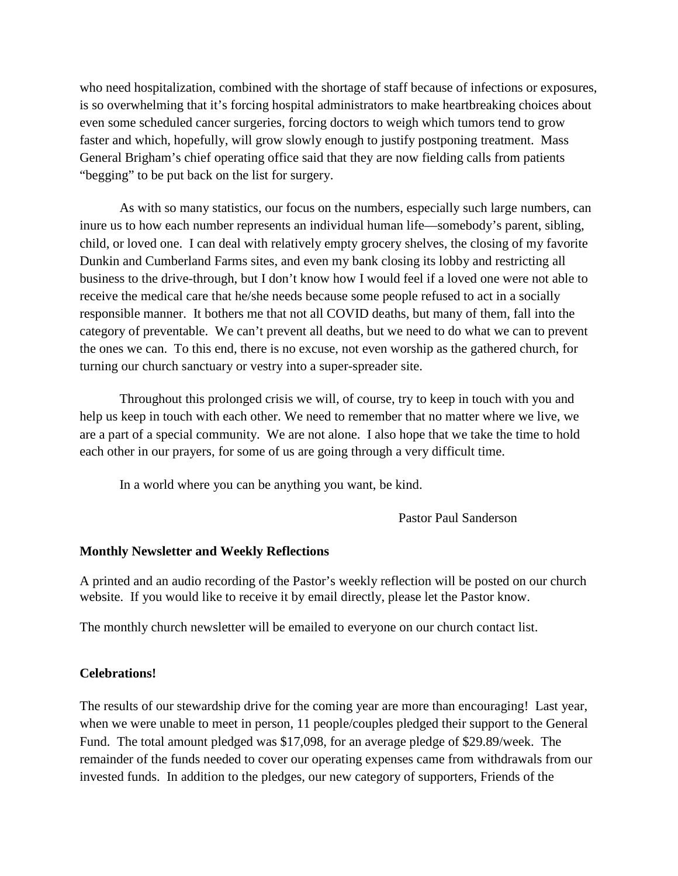who need hospitalization, combined with the shortage of staff because of infections or exposures, is so overwhelming that it's forcing hospital administrators to make heartbreaking choices about even some scheduled cancer surgeries, forcing doctors to weigh which tumors tend to grow faster and which, hopefully, will grow slowly enough to justify postponing treatment. Mass General Brigham's chief operating office said that they are now fielding calls from patients "begging" to be put back on the list for surgery.

As with so many statistics, our focus on the numbers, especially such large numbers, can inure us to how each number represents an individual human life—somebody's parent, sibling, child, or loved one. I can deal with relatively empty grocery shelves, the closing of my favorite Dunkin and Cumberland Farms sites, and even my bank closing its lobby and restricting all business to the drive-through, but I don't know how I would feel if a loved one were not able to receive the medical care that he/she needs because some people refused to act in a socially responsible manner. It bothers me that not all COVID deaths, but many of them, fall into the category of preventable. We can't prevent all deaths, but we need to do what we can to prevent the ones we can. To this end, there is no excuse, not even worship as the gathered church, for turning our church sanctuary or vestry into a super-spreader site.

Throughout this prolonged crisis we will, of course, try to keep in touch with you and help us keep in touch with each other. We need to remember that no matter where we live, we are a part of a special community. We are not alone. I also hope that we take the time to hold each other in our prayers, for some of us are going through a very difficult time.

In a world where you can be anything you want, be kind.

Pastor Paul Sanderson

# **Monthly Newsletter and Weekly Reflections**

A printed and an audio recording of the Pastor's weekly reflection will be posted on our church website. If you would like to receive it by email directly, please let the Pastor know.

The monthly church newsletter will be emailed to everyone on our church contact list.

# **Celebrations!**

The results of our stewardship drive for the coming year are more than encouraging! Last year, when we were unable to meet in person, 11 people/couples pledged their support to the General Fund. The total amount pledged was \$17,098, for an average pledge of \$29.89/week. The remainder of the funds needed to cover our operating expenses came from withdrawals from our invested funds. In addition to the pledges, our new category of supporters, Friends of the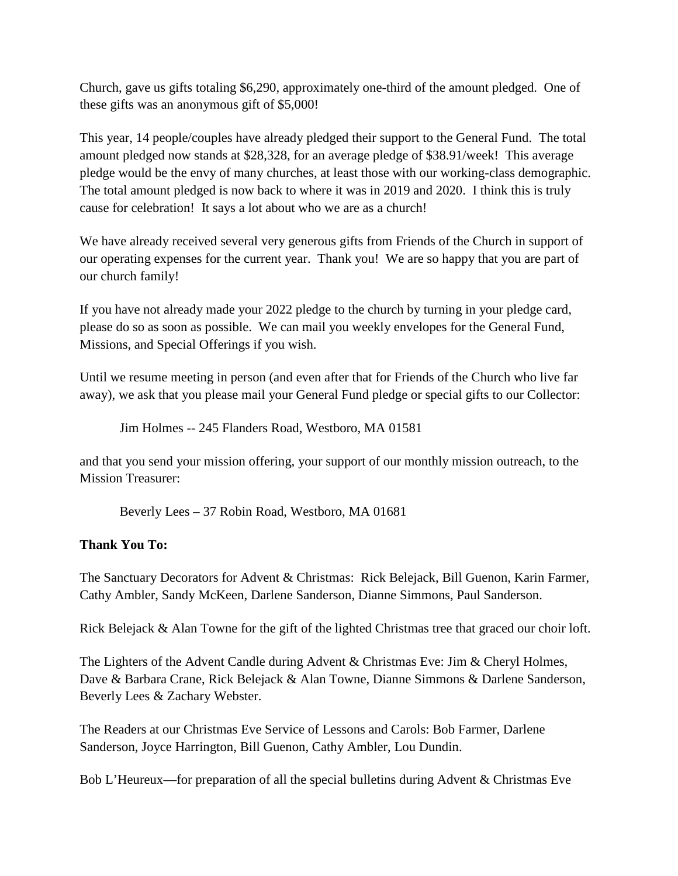Church, gave us gifts totaling \$6,290, approximately one-third of the amount pledged. One of these gifts was an anonymous gift of \$5,000!

This year, 14 people/couples have already pledged their support to the General Fund. The total amount pledged now stands at \$28,328, for an average pledge of \$38.91/week! This average pledge would be the envy of many churches, at least those with our working-class demographic. The total amount pledged is now back to where it was in 2019 and 2020. I think this is truly cause for celebration! It says a lot about who we are as a church!

We have already received several very generous gifts from Friends of the Church in support of our operating expenses for the current year. Thank you! We are so happy that you are part of our church family!

If you have not already made your 2022 pledge to the church by turning in your pledge card, please do so as soon as possible. We can mail you weekly envelopes for the General Fund, Missions, and Special Offerings if you wish.

Until we resume meeting in person (and even after that for Friends of the Church who live far away), we ask that you please mail your General Fund pledge or special gifts to our Collector:

Jim Holmes -- 245 Flanders Road, Westboro, MA 01581

and that you send your mission offering, your support of our monthly mission outreach, to the Mission Treasurer:

Beverly Lees – 37 Robin Road, Westboro, MA 01681

# **Thank You To:**

The Sanctuary Decorators for Advent & Christmas: Rick Belejack, Bill Guenon, Karin Farmer, Cathy Ambler, Sandy McKeen, Darlene Sanderson, Dianne Simmons, Paul Sanderson.

Rick Belejack & Alan Towne for the gift of the lighted Christmas tree that graced our choir loft.

The Lighters of the Advent Candle during Advent & Christmas Eve: Jim & Cheryl Holmes, Dave & Barbara Crane, Rick Belejack & Alan Towne, Dianne Simmons & Darlene Sanderson, Beverly Lees & Zachary Webster.

The Readers at our Christmas Eve Service of Lessons and Carols: Bob Farmer, Darlene Sanderson, Joyce Harrington, Bill Guenon, Cathy Ambler, Lou Dundin.

Bob L'Heureux—for preparation of all the special bulletins during Advent & Christmas Eve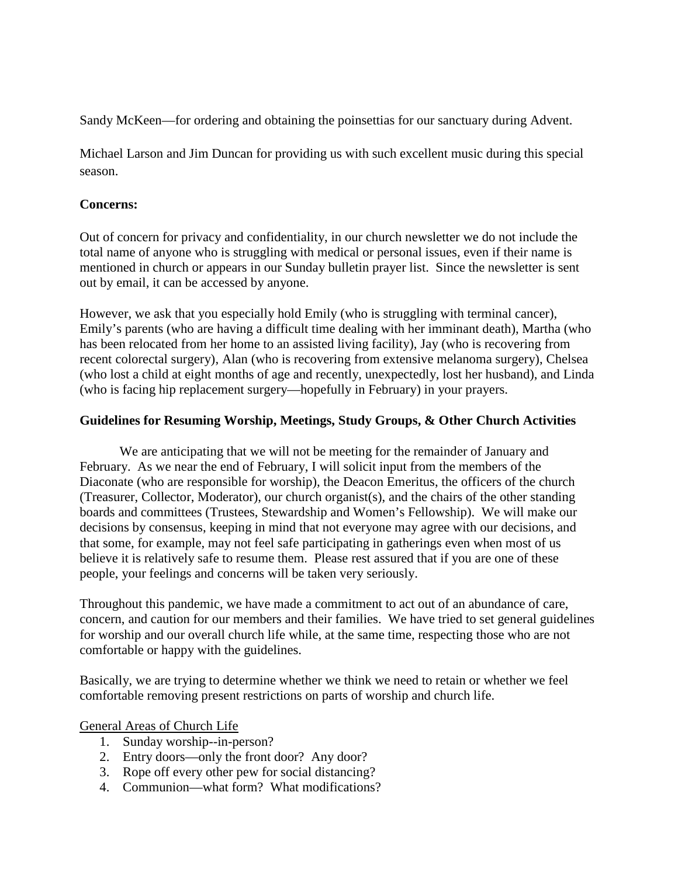Sandy McKeen—for ordering and obtaining the poinsettias for our sanctuary during Advent.

Michael Larson and Jim Duncan for providing us with such excellent music during this special season.

#### **Concerns:**

Out of concern for privacy and confidentiality, in our church newsletter we do not include the total name of anyone who is struggling with medical or personal issues, even if their name is mentioned in church or appears in our Sunday bulletin prayer list. Since the newsletter is sent out by email, it can be accessed by anyone.

However, we ask that you especially hold Emily (who is struggling with terminal cancer), Emily's parents (who are having a difficult time dealing with her imminant death), Martha (who has been relocated from her home to an assisted living facility), Jay (who is recovering from recent colorectal surgery), Alan (who is recovering from extensive melanoma surgery), Chelsea (who lost a child at eight months of age and recently, unexpectedly, lost her husband), and Linda (who is facing hip replacement surgery—hopefully in February) in your prayers.

# **Guidelines for Resuming Worship, Meetings, Study Groups, & Other Church Activities**

We are anticipating that we will not be meeting for the remainder of January and February. As we near the end of February, I will solicit input from the members of the Diaconate (who are responsible for worship), the Deacon Emeritus, the officers of the church (Treasurer, Collector, Moderator), our church organist(s), and the chairs of the other standing boards and committees (Trustees, Stewardship and Women's Fellowship). We will make our decisions by consensus, keeping in mind that not everyone may agree with our decisions, and that some, for example, may not feel safe participating in gatherings even when most of us believe it is relatively safe to resume them. Please rest assured that if you are one of these people, your feelings and concerns will be taken very seriously.

Throughout this pandemic, we have made a commitment to act out of an abundance of care, concern, and caution for our members and their families. We have tried to set general guidelines for worship and our overall church life while, at the same time, respecting those who are not comfortable or happy with the guidelines.

Basically, we are trying to determine whether we think we need to retain or whether we feel comfortable removing present restrictions on parts of worship and church life.

# General Areas of Church Life

- 1. Sunday worship--in-person?
- 2. Entry doors—only the front door? Any door?
- 3. Rope off every other pew for social distancing?
- 4. Communion—what form? What modifications?